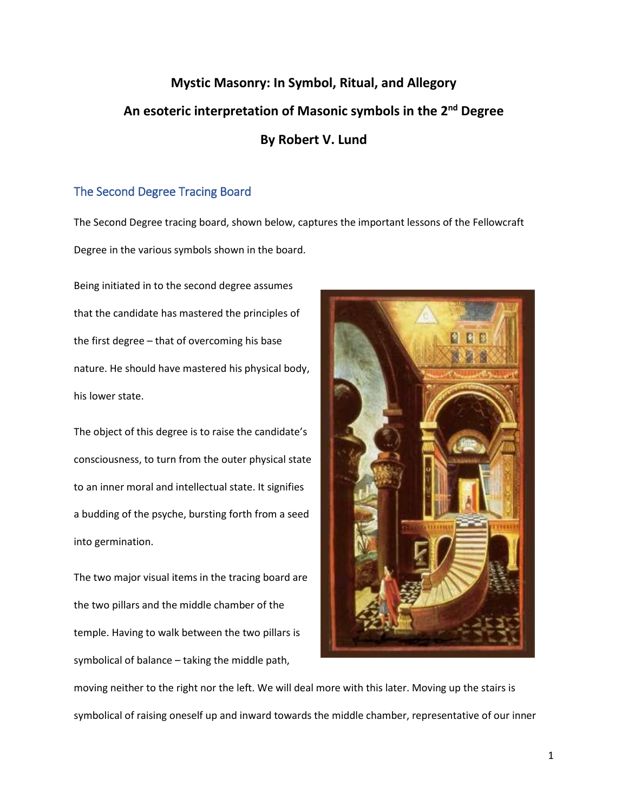# **Mystic Masonry: In Symbol, Ritual, and Allegory An esoteric interpretation of Masonic symbols in the 2nd Degree By Robert V. Lund**

# The Second Degree Tracing Board

The Second Degree tracing board, shown below, captures the important lessons of the Fellowcraft Degree in the various symbols shown in the board.

Being initiated in to the second degree assumes that the candidate has mastered the principles of the first degree – that of overcoming his base nature. He should have mastered his physical body, his lower state.

The object of this degree is to raise the candidate's consciousness, to turn from the outer physical state to an inner moral and intellectual state. It signifies a budding of the psyche, bursting forth from a seed into germination.

The two major visual items in the tracing board are the two pillars and the middle chamber of the temple. Having to walk between the two pillars is symbolical of balance – taking the middle path,



moving neither to the right nor the left. We will deal more with this later. Moving up the stairs is symbolical of raising oneself up and inward towards the middle chamber, representative of our inner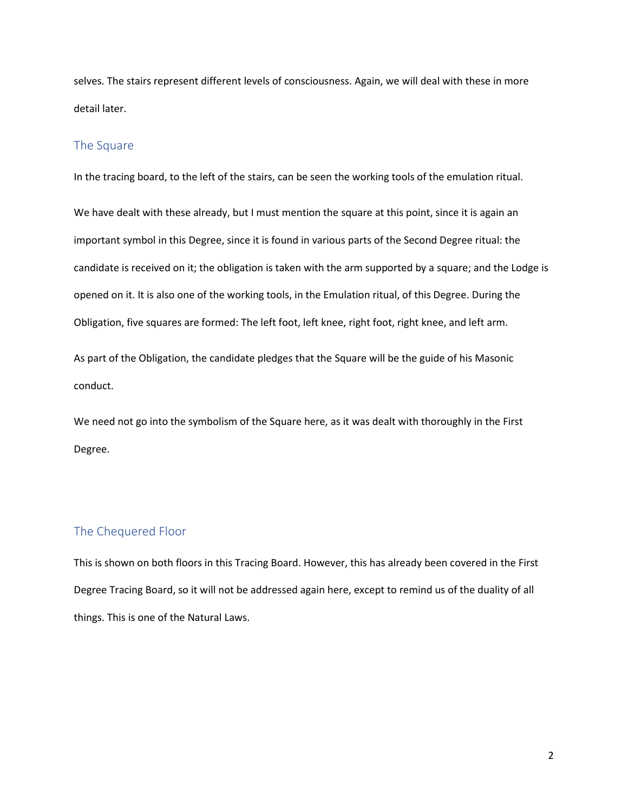selves. The stairs represent different levels of consciousness. Again, we will deal with these in more detail later.

## The Square

In the tracing board, to the left of the stairs, can be seen the working tools of the emulation ritual.

We have dealt with these already, but I must mention the square at this point, since it is again an important symbol in this Degree, since it is found in various parts of the Second Degree ritual: the candidate is received on it; the obligation is taken with the arm supported by a square; and the Lodge is opened on it. It is also one of the working tools, in the Emulation ritual, of this Degree. During the Obligation, five squares are formed: The left foot, left knee, right foot, right knee, and left arm.

As part of the Obligation, the candidate pledges that the Square will be the guide of his Masonic conduct.

We need not go into the symbolism of the Square here, as it was dealt with thoroughly in the First Degree.

# The Chequered Floor

This is shown on both floors in this Tracing Board. However, this has already been covered in the First Degree Tracing Board, so it will not be addressed again here, except to remind us of the duality of all things. This is one of the Natural Laws.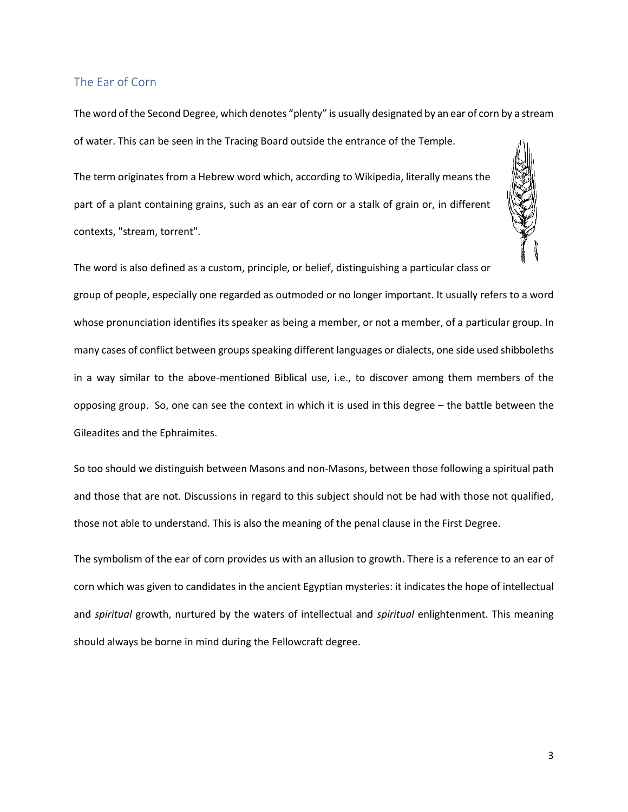## The Ear of Corn

The word of the Second Degree, which denotes "plenty" is usually designated by an ear of corn by a stream of water. This can be seen in the Tracing Board outside the entrance of the Temple.

The term originates from a Hebrew word which, according to Wikipedia, literally means the part of a plant containing grains, such as an ear of corn or a stalk of grain or, in different contexts, "stream, torrent".



The word is also defined as a custom, principle, or belief, distinguishing a particular class or

group of people, especially one regarded as outmoded or no longer important. It usually refers to a word whose pronunciation identifies its speaker as being a member, or not a member, of a particular group. In many cases of conflict between groups speaking different languages or dialects, one side used shibboleths in a way similar to the above-mentioned Biblical use, i.e., to discover among them members of the opposing group. So, one can see the context in which it is used in this degree – the battle between the Gileadites and the Ephraimites.

So too should we distinguish between Masons and non-Masons, between those following a spiritual path and those that are not. Discussions in regard to this subject should not be had with those not qualified, those not able to understand. This is also the meaning of the penal clause in the First Degree.

The symbolism of the ear of corn provides us with an allusion to growth. There is a reference to an ear of corn which was given to candidates in the ancient Egyptian mysteries: it indicates the hope of intellectual and *spiritual* growth, nurtured by the waters of intellectual and *spiritual* enlightenment. This meaning should always be borne in mind during the Fellowcraft degree.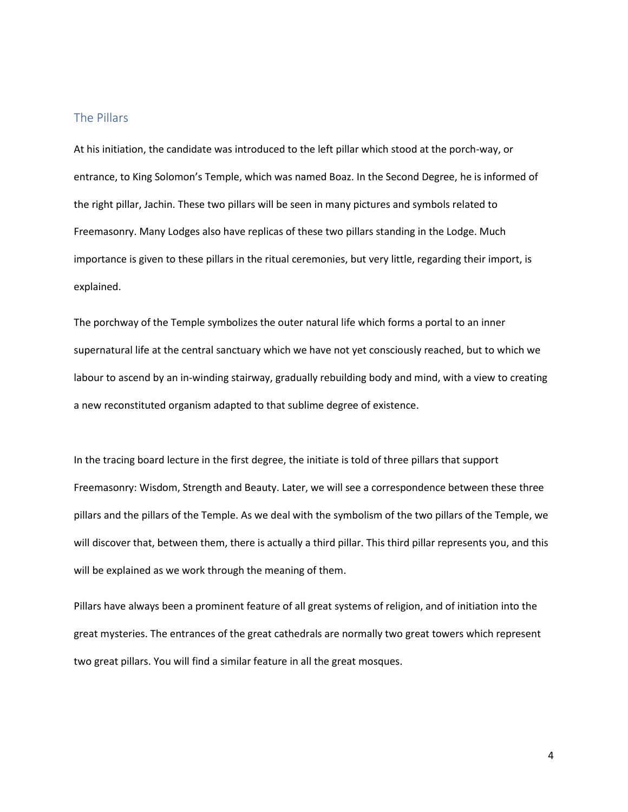## The Pillars

At his initiation, the candidate was introduced to the left pillar which stood at the porch-way, or entrance, to King Solomon's Temple, which was named Boaz. In the Second Degree, he is informed of the right pillar, Jachin. These two pillars will be seen in many pictures and symbols related to Freemasonry. Many Lodges also have replicas of these two pillars standing in the Lodge. Much importance is given to these pillars in the ritual ceremonies, but very little, regarding their import, is explained.

The porchway of the Temple symbolizes the outer natural life which forms a portal to an inner supernatural life at the central sanctuary which we have not yet consciously reached, but to which we labour to ascend by an in-winding stairway, gradually rebuilding body and mind, with a view to creating a new reconstituted organism adapted to that sublime degree of existence.

In the tracing board lecture in the first degree, the initiate is told of three pillars that support Freemasonry: Wisdom, Strength and Beauty. Later, we will see a correspondence between these three pillars and the pillars of the Temple. As we deal with the symbolism of the two pillars of the Temple, we will discover that, between them, there is actually a third pillar. This third pillar represents you, and this will be explained as we work through the meaning of them.

Pillars have always been a prominent feature of all great systems of religion, and of initiation into the great mysteries. The entrances of the great cathedrals are normally two great towers which represent two great pillars. You will find a similar feature in all the great mosques.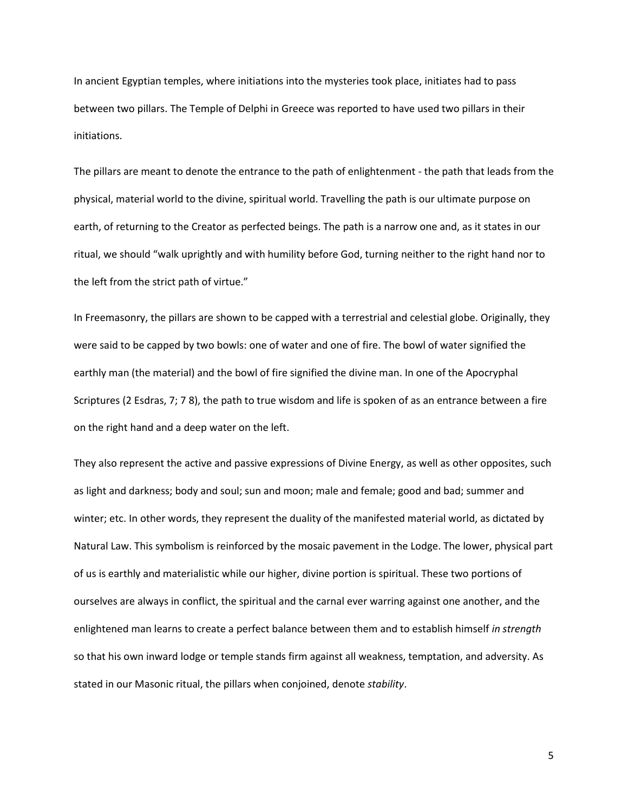In ancient Egyptian temples, where initiations into the mysteries took place, initiates had to pass between two pillars. The Temple of Delphi in Greece was reported to have used two pillars in their initiations.

The pillars are meant to denote the entrance to the path of enlightenment - the path that leads from the physical, material world to the divine, spiritual world. Travelling the path is our ultimate purpose on earth, of returning to the Creator as perfected beings. The path is a narrow one and, as it states in our ritual, we should "walk uprightly and with humility before God, turning neither to the right hand nor to the left from the strict path of virtue."

In Freemasonry, the pillars are shown to be capped with a terrestrial and celestial globe. Originally, they were said to be capped by two bowls: one of water and one of fire. The bowl of water signified the earthly man (the material) and the bowl of fire signified the divine man. In one of the Apocryphal Scriptures (2 Esdras, 7; 7 8), the path to true wisdom and life is spoken of as an entrance between a fire on the right hand and a deep water on the left.

They also represent the active and passive expressions of Divine Energy, as well as other opposites, such as light and darkness; body and soul; sun and moon; male and female; good and bad; summer and winter; etc. In other words, they represent the duality of the manifested material world, as dictated by Natural Law. This symbolism is reinforced by the mosaic pavement in the Lodge. The lower, physical part of us is earthly and materialistic while our higher, divine portion is spiritual. These two portions of ourselves are always in conflict, the spiritual and the carnal ever warring against one another, and the enlightened man learns to create a perfect balance between them and to establish himself *in strength* so that his own inward lodge or temple stands firm against all weakness, temptation, and adversity. As stated in our Masonic ritual, the pillars when conjoined, denote *stability*.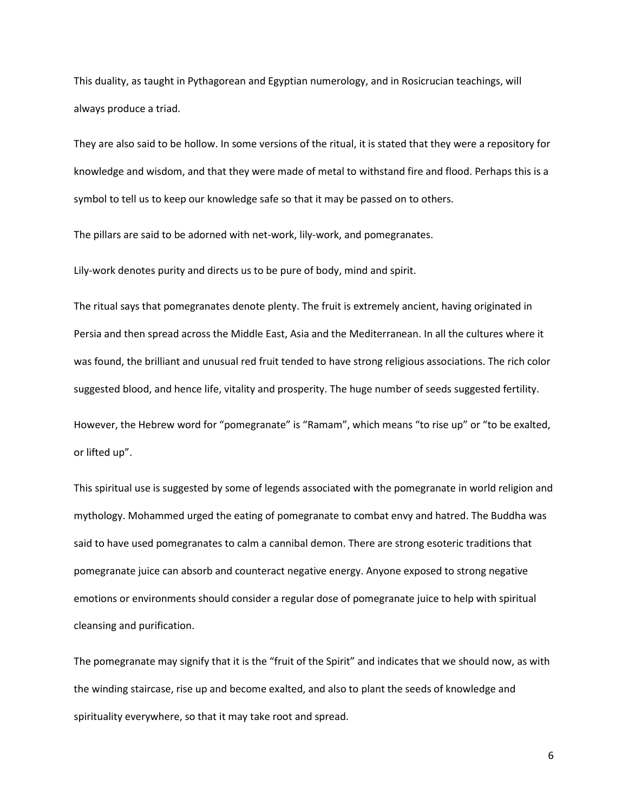This duality, as taught in Pythagorean and Egyptian numerology, and in Rosicrucian teachings, will always produce a triad.

They are also said to be hollow. In some versions of the ritual, it is stated that they were a repository for knowledge and wisdom, and that they were made of metal to withstand fire and flood. Perhaps this is a symbol to tell us to keep our knowledge safe so that it may be passed on to others.

The pillars are said to be adorned with net-work, lily-work, and pomegranates.

Lily-work denotes purity and directs us to be pure of body, mind and spirit.

The ritual says that pomegranates denote plenty. The fruit is extremely ancient, having originated in Persia and then spread across the Middle East, Asia and the Mediterranean. In all the cultures where it was found, the brilliant and unusual red fruit tended to have strong religious associations. The rich color suggested blood, and hence life, vitality and prosperity. The huge number of seeds suggested fertility.

However, the Hebrew word for "pomegranate" is "Ramam", which means "to rise up" or "to be exalted, or lifted up".

This spiritual use is suggested by some of legends associated with the pomegranate in world religion and mythology. Mohammed urged the eating of pomegranate to combat envy and hatred. The Buddha was said to have used pomegranates to calm a cannibal demon. There are strong esoteric traditions that pomegranate juice can absorb and counteract negative energy. Anyone exposed to strong negative emotions or environments should consider a regular dose of pomegranate juice to help with spiritual cleansing and purification.

The pomegranate may signify that it is the "fruit of the Spirit" and indicates that we should now, as with the winding staircase, rise up and become exalted, and also to plant the seeds of knowledge and spirituality everywhere, so that it may take root and spread.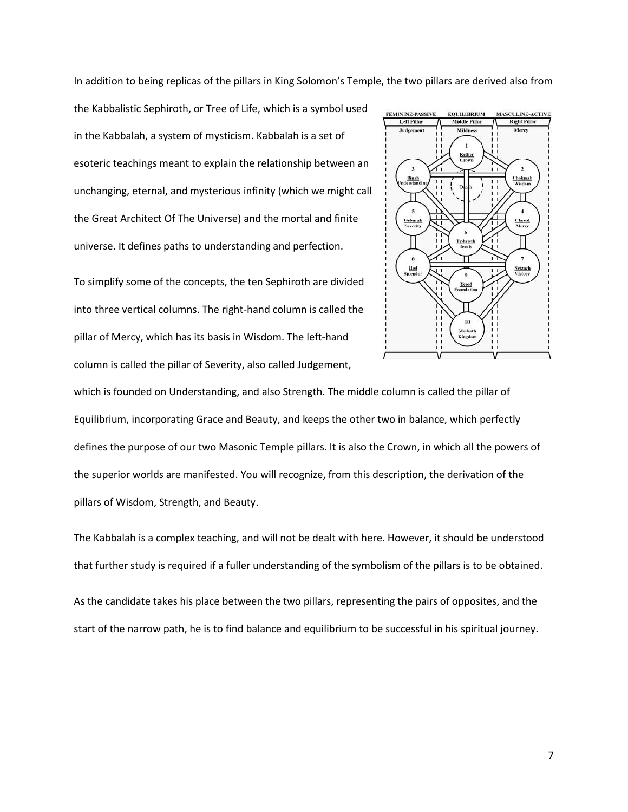In addition to being replicas of the pillars in King Solomon's Temple, the two pillars are derived also from

the Kabbalistic Sephiroth, or Tree of Life, which is a symbol used in the Kabbalah, a system of mysticism. Kabbalah is a set of esoteric teachings meant to explain the relationship between an unchanging, eternal, and mysterious infinity (which we might call the Great Architect Of The Universe) and the mortal and finite universe. It defines paths to understanding and perfection.

To simplify some of the concepts, the ten Sephiroth are divided into three vertical columns. The right-hand column is called the pillar of Mercy, which has its basis in Wisdom. The left-hand column is called the pillar of Severity, also called Judgement,



which is founded on Understanding, and also Strength. The middle column is called the pillar of Equilibrium, incorporating Grace and Beauty, and keeps the other two in balance, which perfectly defines the purpose of our two Masonic Temple pillars. It is also the Crown, in which all the powers of the superior worlds are manifested. You will recognize, from this description, the derivation of the pillars of Wisdom, Strength, and Beauty.

The Kabbalah is a complex teaching, and will not be dealt with here. However, it should be understood that further study is required if a fuller understanding of the symbolism of the pillars is to be obtained.

As the candidate takes his place between the two pillars, representing the pairs of opposites, and the start of the narrow path, he is to find balance and equilibrium to be successful in his spiritual journey.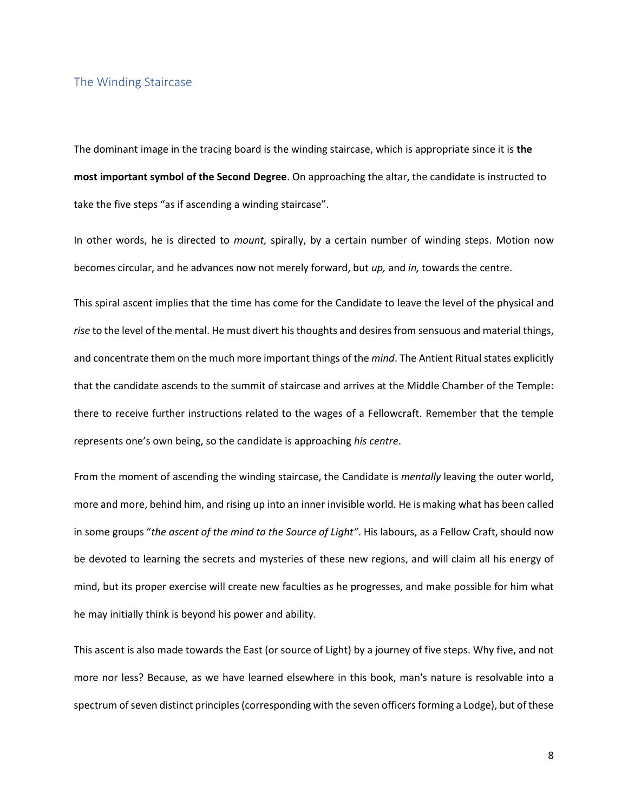#### The Winding Staircase

The dominant image in the tracing board is the winding staircase, which is appropriate since it is **the most important symbol of the Second Degree**. On approaching the altar, the candidate is instructed to take the five steps "as if ascending a winding staircase".

In other words, he is directed to *mount,* spirally, by a certain number of winding steps. Motion now becomes circular, and he advances now not merely forward, but *up,* and *in,* towards the centre.

This spiral ascent implies that the time has come for the Candidate to leave the level of the physical and *rise* to the level of the mental. He must divert his thoughts and desires from sensuous and material things, and concentrate them on the much more important things of the *mind*. The Antient Ritual states explicitly that the candidate ascends to the summit of staircase and arrives at the Middle Chamber of the Temple: there to receive further instructions related to the wages of a Fellowcraft. Remember that the temple represents one's own being, so the candidate is approaching *his centre*.

From the moment of ascending the winding staircase, the Candidate is *mentally* leaving the outer world, more and more, behind him, and rising up into an inner invisible world. He is making what has been called in some groups "*the ascent of the mind to the Source of Light"*. His labours, as a Fellow Craft, should now be devoted to learning the secrets and mysteries of these new regions, and will claim all his energy of mind, but its proper exercise will create new faculties as he progresses, and make possible for him what he may initially think is beyond his power and ability.

This ascent is also made towards the East (or source of Light) by a journey of five steps. Why five, and not more nor less? Because, as we have learned elsewhere in this book, man's nature is resolvable into a spectrum of seven distinct principles (corresponding with the seven officers forming a Lodge), but of these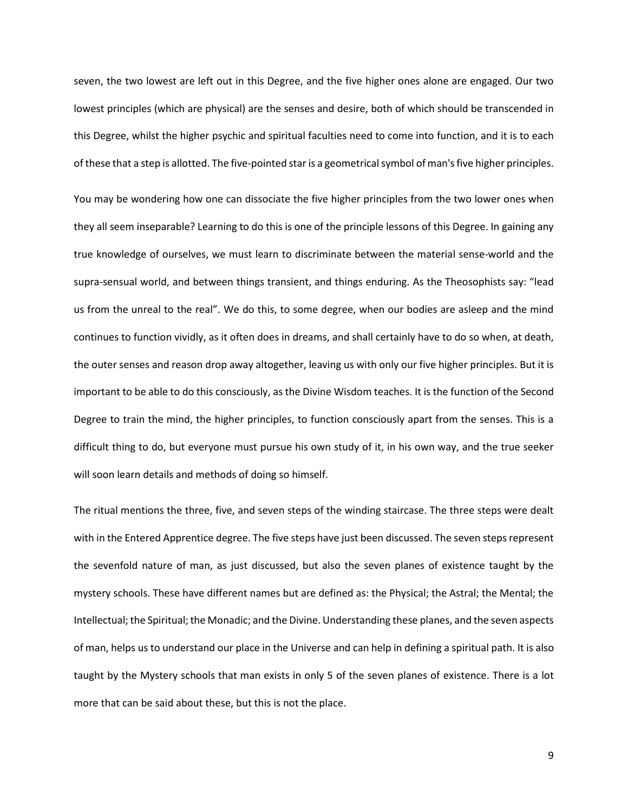seven, the two lowest are left out in this Degree, and the five higher ones alone are engaged. Our two lowest principles (which are physical) are the senses and desire, both of which should be transcended in this Degree, whilst the higher psychic and spiritual faculties need to come into function, and it is to each of these that a step is allotted. The five-pointed star is a geometrical symbol of man's five higher principles.

You may be wondering how one can dissociate the five higher principles from the two lower ones when they all seem inseparable? Learning to do this is one of the principle lessons of this Degree. In gaining any true knowledge of ourselves, we must learn to discriminate between the material sense-world and the supra-sensual world, and between things transient, and things enduring. As the Theosophists say: "lead us from the unreal to the real". We do this, to some degree, when our bodies are asleep and the mind continues to function vividly, as it often does in dreams, and shall certainly have to do so when, at death, the outer senses and reason drop away altogether, leaving us with only our five higher principles. But it is important to be able to do this consciously, as the Divine Wisdom teaches. It is the function of the Second Degree to train the mind, the higher principles, to function consciously apart from the senses. This is a difficult thing to do, but everyone must pursue his own study of it, in his own way, and the true seeker will soon learn details and methods of doing so himself.

The ritual mentions the three, five, and seven steps of the winding staircase. The three steps were dealt with in the Entered Apprentice degree. The five steps have just been discussed. The seven steps represent the sevenfold nature of man, as just discussed, but also the seven planes of existence taught by the mystery schools. These have different names but are defined as: the Physical; the Astral; the Mental; the Intellectual; the Spiritual; the Monadic; and the Divine. Understanding these planes, and the seven aspects of man, helps us to understand our place in the Universe and can help in defining a spiritual path. It is also taught by the Mystery schools that man exists in only 5 of the seven planes of existence. There is a lot more that can be said about these, but this is not the place.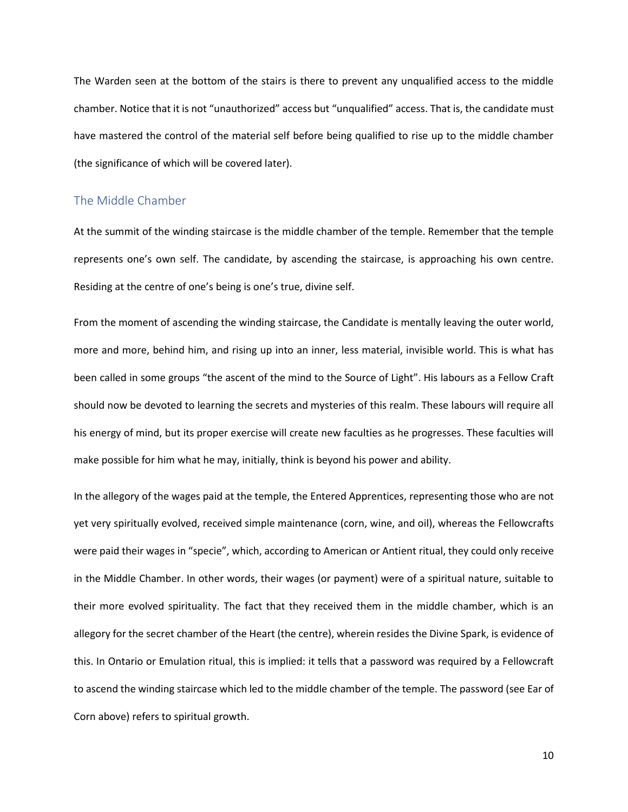The Warden seen at the bottom of the stairs is there to prevent any unqualified access to the middle chamber. Notice that it is not "unauthorized" access but "unqualified" access. That is, the candidate must have mastered the control of the material self before being qualified to rise up to the middle chamber (the significance of which will be covered later).

#### The Middle Chamber

At the summit of the winding staircase is the middle chamber of the temple. Remember that the temple represents one's own self. The candidate, by ascending the staircase, is approaching his own centre. Residing at the centre of one's being is one's true, divine self.

From the moment of ascending the winding staircase, the Candidate is mentally leaving the outer world, more and more, behind him, and rising up into an inner, less material, invisible world. This is what has been called in some groups "the ascent of the mind to the Source of Light". His labours as a Fellow Craft should now be devoted to learning the secrets and mysteries of this realm. These labours will require all his energy of mind, but its proper exercise will create new faculties as he progresses. These faculties will make possible for him what he may, initially, think is beyond his power and ability.

In the allegory of the wages paid at the temple, the Entered Apprentices, representing those who are not yet very spiritually evolved, received simple maintenance (corn, wine, and oil), whereas the Fellowcrafts were paid their wages in "specie", which, according to American or Antient ritual, they could only receive in the Middle Chamber. In other words, their wages (or payment) were of a spiritual nature, suitable to their more evolved spirituality. The fact that they received them in the middle chamber, which is an allegory for the secret chamber of the Heart (the centre), wherein resides the Divine Spark, is evidence of this. In Ontario or Emulation ritual, this is implied: it tells that a password was required by a Fellowcraft to ascend the winding staircase which led to the middle chamber of the temple. The password (see Ear of Corn above) refers to spiritual growth.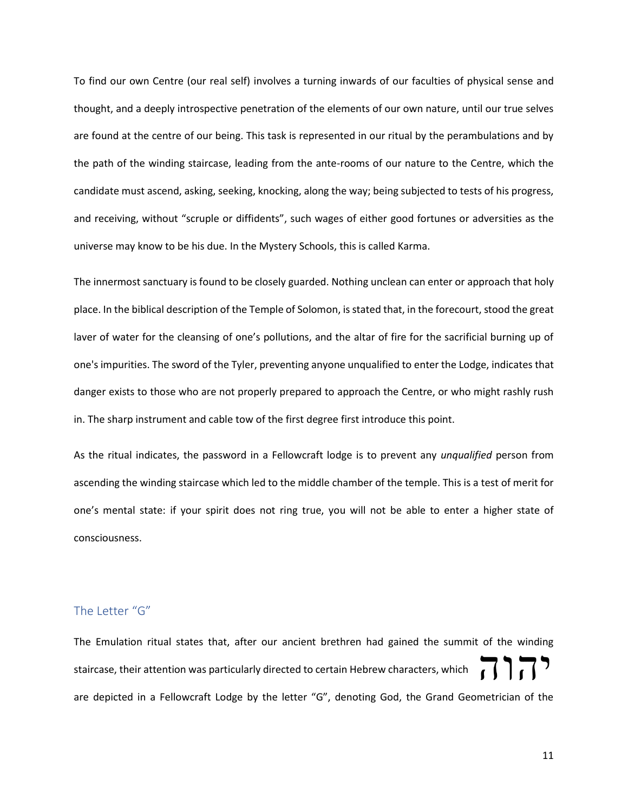To find our own Centre (our real self) involves a turning inwards of our faculties of physical sense and thought, and a deeply introspective penetration of the elements of our own nature, until our true selves are found at the centre of our being. This task is represented in our ritual by the perambulations and by the path of the winding staircase, leading from the ante-rooms of our nature to the Centre, which the candidate must ascend, asking, seeking, knocking, along the way; being subjected to tests of his progress, and receiving, without "scruple or diffidents", such wages of either good fortunes or adversities as the universe may know to be his due. In the Mystery Schools, this is called Karma.

The innermost sanctuary is found to be closely guarded. Nothing unclean can enter or approach that holy place. In the biblical description of the Temple of Solomon, is stated that, in the forecourt, stood the great laver of water for the cleansing of one's pollutions, and the altar of fire for the sacrificial burning up of one's impurities. The sword of the Tyler, preventing anyone unqualified to enter the Lodge, indicates that danger exists to those who are not properly prepared to approach the Centre, or who might rashly rush in. The sharp instrument and cable tow of the first degree first introduce this point.

As the ritual indicates, the password in a Fellowcraft lodge is to prevent any *unqualified* person from ascending the winding staircase which led to the middle chamber of the temple. This is a test of merit for one's mental state: if your spirit does not ring true, you will not be able to enter a higher state of consciousness.

# The Letter "G"

The Emulation ritual states that, after our ancient brethren had gained the summit of the winding staircase, their attention was particularly directed to certain Hebrew characters, which are depicted in a Fellowcraft Lodge by the letter "G", denoting God, the Grand Geometrician of the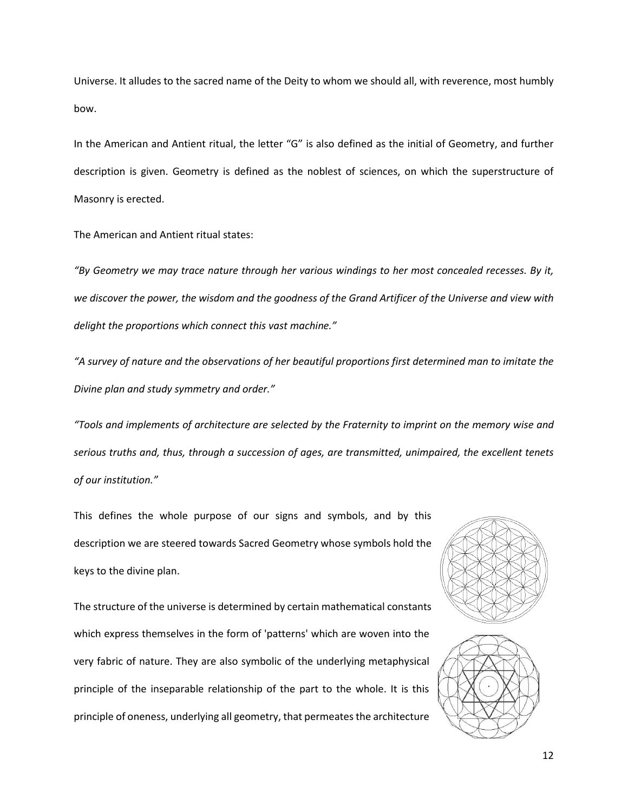Universe. It alludes to the sacred name of the Deity to whom we should all, with reverence, most humbly bow.

In the American and Antient ritual, the letter "G" is also defined as the initial of Geometry, and further description is given. Geometry is defined as the noblest of sciences, on which the superstructure of Masonry is erected.

The American and Antient ritual states:

*"By Geometry we may trace nature through her various windings to her most concealed recesses. By it, we discover the power, the wisdom and the goodness of the Grand Artificer of the Universe and view with delight the proportions which connect this vast machine."*

*"A survey of nature and the observations of her beautiful proportions first determined man to imitate the Divine plan and study symmetry and order."*

*"Tools and implements of architecture are selected by the Fraternity to imprint on the memory wise and serious truths and, thus, through a succession of ages, are transmitted, unimpaired, the excellent tenets of our institution."*

This defines the whole purpose of our signs and symbols, and by this description we are steered towards Sacred Geometry whose symbols hold the keys to the divine plan.

The structure of the universe is determined by certain mathematical constants which express themselves in the form of 'patterns' which are woven into the very fabric of nature. They are also symbolic of the underlying metaphysical principle of the inseparable relationship of the part to the whole. It is this principle of oneness, underlying all geometry, that permeates the architecture



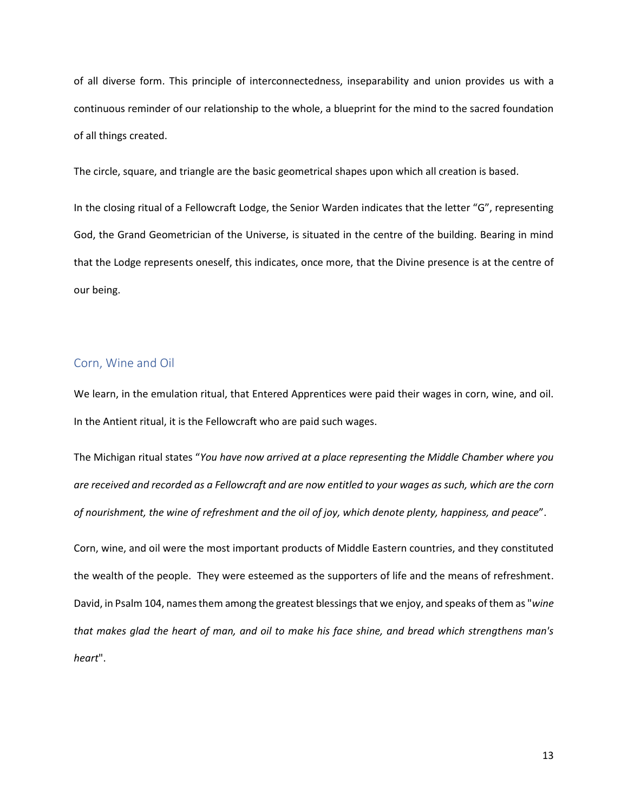of all diverse form. This principle of interconnectedness, inseparability and union provides us with a continuous reminder of our relationship to the whole, a blueprint for the mind to the sacred foundation of all things created.

The circle, square, and triangle are the basic geometrical shapes upon which all creation is based.

In the closing ritual of a Fellowcraft Lodge, the Senior Warden indicates that the letter "G", representing God, the Grand Geometrician of the Universe, is situated in the centre of the building. Bearing in mind that the Lodge represents oneself, this indicates, once more, that the Divine presence is at the centre of our being.

#### Corn, Wine and Oil

We learn, in the emulation ritual, that Entered Apprentices were paid their wages in corn, wine, and oil. In the Antient ritual, it is the Fellowcraft who are paid such wages.

The Michigan ritual states "*You have now arrived at a place representing the Middle Chamber where you are received and recorded as a Fellowcraft and are now entitled to your wages as such, which are the corn of nourishment, the wine of refreshment and the oil of joy, which denote plenty, happiness, and peace*".

Corn, wine, and oil were the most important products of Middle Eastern countries, and they constituted the wealth of the people. They were esteemed as the supporters of life and the means of refreshment. David, in Psalm 104, names them among the greatest blessings that we enjoy, and speaks of them as "*wine that makes glad the heart of man, and oil to make his face shine, and bread which strengthens man's heart*".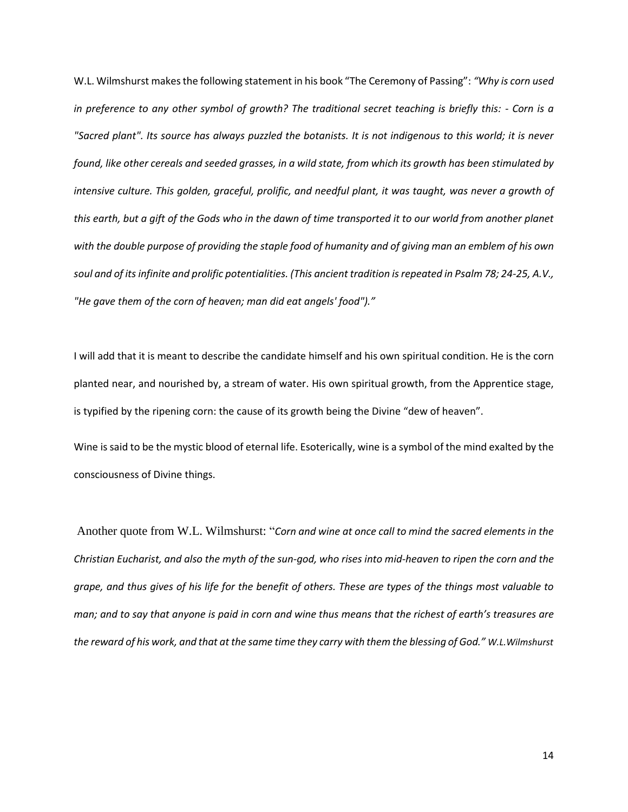W.L. Wilmshurst makes the following statement in his book "The Ceremony of Passing": *"Why is corn used in preference to any other symbol of growth? The traditional secret teaching is briefly this: - Corn is a "Sacred plant". Its source has always puzzled the botanists. It is not indigenous to this world; it is never found, like other cereals and seeded grasses, in a wild state, from which its growth has been stimulated by intensive culture. This golden, graceful, prolific, and needful plant, it was taught, was never a growth of this earth, but a gift of the Gods who in the dawn of time transported it to our world from another planet with the double purpose of providing the staple food of humanity and of giving man an emblem of his own soul and of its infinite and prolific potentialities. (This ancient tradition is repeated in Psalm 78; 24-25, A.V., "He gave them of the corn of heaven; man did eat angels' food")."*

I will add that it is meant to describe the candidate himself and his own spiritual condition. He is the corn planted near, and nourished by, a stream of water. His own spiritual growth, from the Apprentice stage, is typified by the ripening corn: the cause of its growth being the Divine "dew of heaven".

Wine is said to be the mystic blood of eternal life. Esoterically, wine is a symbol of the mind exalted by the consciousness of Divine things.

Another quote from W.L. Wilmshurst: "*Corn and wine at once call to mind the sacred elements in the Christian Eucharist, and also the myth of the sun-god, who rises into mid-heaven to ripen the corn and the grape, and thus gives of his life for the benefit of others. These are types of the things most valuable to man; and to say that anyone is paid in corn and wine thus means that the richest of earth's treasures are the reward of his work, and that at the same time they carry with them the blessing of God." W.L.Wilmshurst*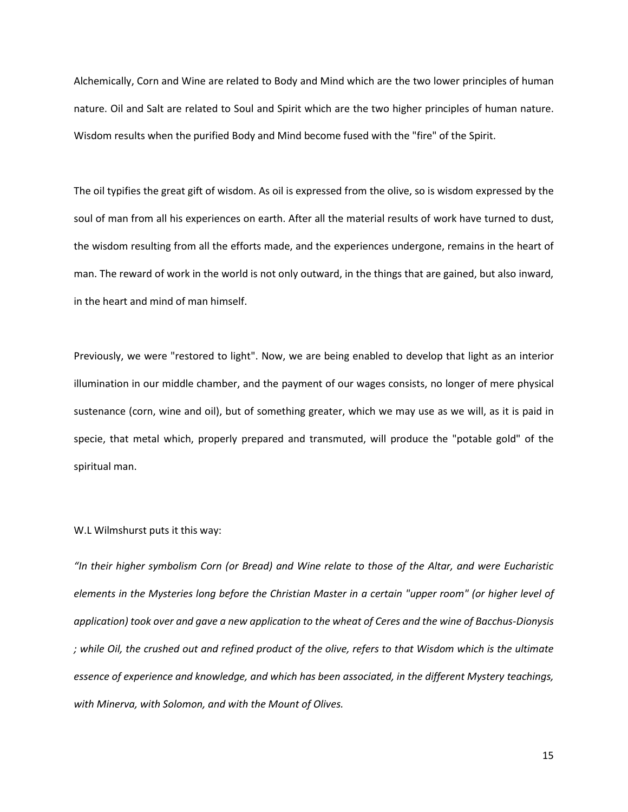Alchemically, Corn and Wine are related to Body and Mind which are the two lower principles of human nature. Oil and Salt are related to Soul and Spirit which are the two higher principles of human nature. Wisdom results when the purified Body and Mind become fused with the "fire" of the Spirit.

The oil typifies the great gift of wisdom. As oil is expressed from the olive, so is wisdom expressed by the soul of man from all his experiences on earth. After all the material results of work have turned to dust, the wisdom resulting from all the efforts made, and the experiences undergone, remains in the heart of man. The reward of work in the world is not only outward, in the things that are gained, but also inward, in the heart and mind of man himself.

Previously, we were "restored to light". Now, we are being enabled to develop that light as an interior illumination in our middle chamber, and the payment of our wages consists, no longer of mere physical sustenance (corn, wine and oil), but of something greater, which we may use as we will, as it is paid in specie, that metal which, properly prepared and transmuted, will produce the "potable gold" of the spiritual man.

#### W.L Wilmshurst puts it this way:

*"In their higher symbolism Corn (or Bread) and Wine relate to those of the Altar, and were Eucharistic elements in the Mysteries long before the Christian Master in a certain "upper room" (or higher level of application) took over and gave a new application to the wheat of Ceres and the wine of Bacchus-Dionysis ; while Oil, the crushed out and refined product of the olive, refers to that Wisdom which is the ultimate essence of experience and knowledge, and which has been associated, in the different Mystery teachings, with Minerva, with Solomon, and with the Mount of Olives.*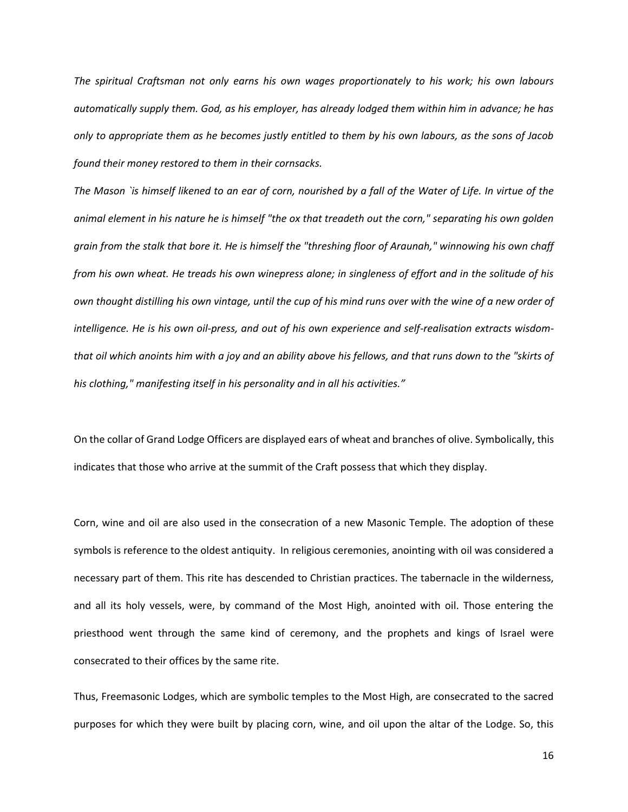*The spiritual Craftsman not only earns his own wages proportionately to his work; his own labours automatically supply them. God, as his employer, has already lodged them within him in advance; he has only to appropriate them as he becomes justly entitled to them by his own labours, as the sons of Jacob found their money restored to them in their cornsacks.*

*The Mason `is himself likened to an ear of corn, nourished by a fall of the Water of Life. In virtue of the animal element in his nature he is himself "the ox that treadeth out the corn," separating his own golden grain from the stalk that bore it. He is himself the "threshing floor of Araunah," winnowing his own chaff from his own wheat. He treads his own winepress alone; in singleness of effort and in the solitude of his own thought distilling his own vintage, until the cup of his mind runs over with the wine of a new order of intelligence. He is his own oil-press, and out of his own experience and self-realisation extracts wisdomthat oil which anoints him with a joy and an ability above his fellows, and that runs down to the "skirts of his clothing," manifesting itself in his personality and in all his activities."* 

On the collar of Grand Lodge Officers are displayed ears of wheat and branches of olive. Symbolically, this indicates that those who arrive at the summit of the Craft possess that which they display.

Corn, wine and oil are also used in the consecration of a new Masonic Temple. The adoption of these symbols is reference to the oldest antiquity. In religious ceremonies, anointing with oil was considered a necessary part of them. This rite has descended to Christian practices. The tabernacle in the wilderness, and all its holy vessels, were, by command of the Most High, anointed with oil. Those entering the priesthood went through the same kind of ceremony, and the prophets and kings of Israel were consecrated to their offices by the same rite.

Thus, Freemasonic Lodges, which are symbolic temples to the Most High, are consecrated to the sacred purposes for which they were built by placing corn, wine, and oil upon the altar of the Lodge. So, this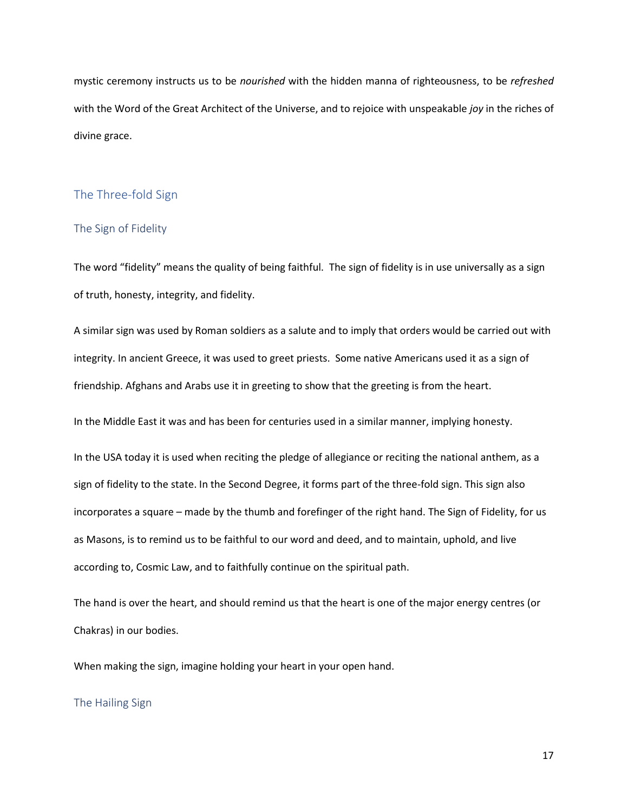mystic ceremony instructs us to be *nourished* with the hidden manna of righteousness, to be *refreshed* with the Word of the Great Architect of the Universe, and to rejoice with unspeakable *joy* in the riches of divine grace.

# The Three-fold Sign

#### The Sign of Fidelity

The word "fidelity" means the quality of being faithful. The sign of fidelity is in use universally as a sign of truth, honesty, integrity, and fidelity.

A similar sign was used by Roman soldiers as a salute and to imply that orders would be carried out with integrity. In ancient Greece, it was used to greet priests. Some native Americans used it as a sign of friendship. Afghans and Arabs use it in greeting to show that the greeting is from the heart.

In the Middle East it was and has been for centuries used in a similar manner, implying honesty.

In the USA today it is used when reciting the pledge of allegiance or reciting the national anthem, as a sign of fidelity to the state. In the Second Degree, it forms part of the three-fold sign. This sign also incorporates a square – made by the thumb and forefinger of the right hand. The Sign of Fidelity, for us as Masons, is to remind us to be faithful to our word and deed, and to maintain, uphold, and live according to, Cosmic Law, and to faithfully continue on the spiritual path.

The hand is over the heart, and should remind us that the heart is one of the major energy centres (or Chakras) in our bodies.

When making the sign, imagine holding your heart in your open hand.

#### The Hailing Sign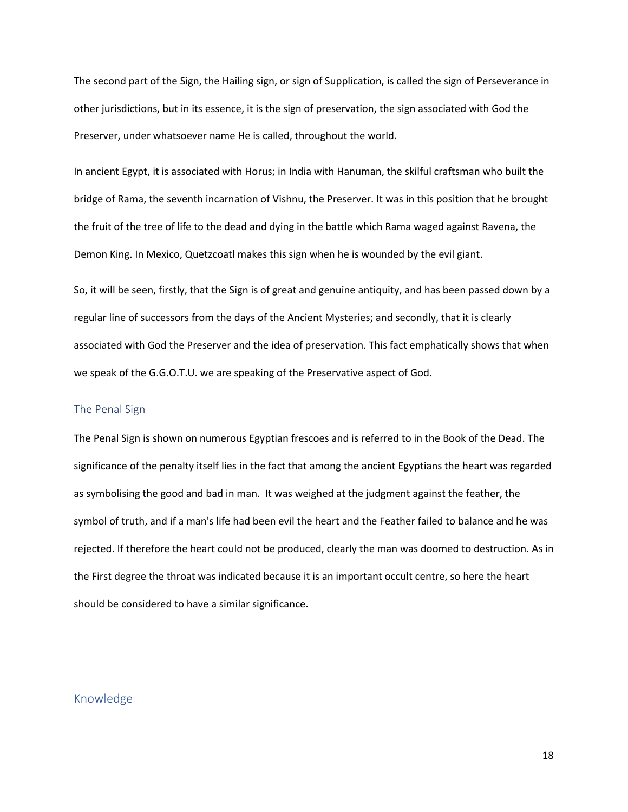The second part of the Sign, the Hailing sign, or sign of Supplication, is called the sign of Perseverance in other jurisdictions, but in its essence, it is the sign of preservation, the sign associated with God the Preserver, under whatsoever name He is called, throughout the world.

In ancient Egypt, it is associated with Horus; in India with Hanuman, the skilful craftsman who built the bridge of Rama, the seventh incarnation of Vishnu, the Preserver. It was in this position that he brought the fruit of the tree of life to the dead and dying in the battle which Rama waged against Ravena, the Demon King. In Mexico, Quetzcoatl makes this sign when he is wounded by the evil giant.

So, it will be seen, firstly, that the Sign is of great and genuine antiquity, and has been passed down by a regular line of successors from the days of the Ancient Mysteries; and secondly, that it is clearly associated with God the Preserver and the idea of preservation. This fact emphatically shows that when we speak of the G.G.O.T.U. we are speaking of the Preservative aspect of God.

#### The Penal Sign

The Penal Sign is shown on numerous Egyptian frescoes and is referred to in the Book of the Dead. The significance of the penalty itself lies in the fact that among the ancient Egyptians the heart was regarded as symbolising the good and bad in man. It was weighed at the judgment against the feather, the symbol of truth, and if a man's life had been evil the heart and the Feather failed to balance and he was rejected. If therefore the heart could not be produced, clearly the man was doomed to destruction. As in the First degree the throat was indicated because it is an important occult centre, so here the heart should be considered to have a similar significance.

# Knowledge